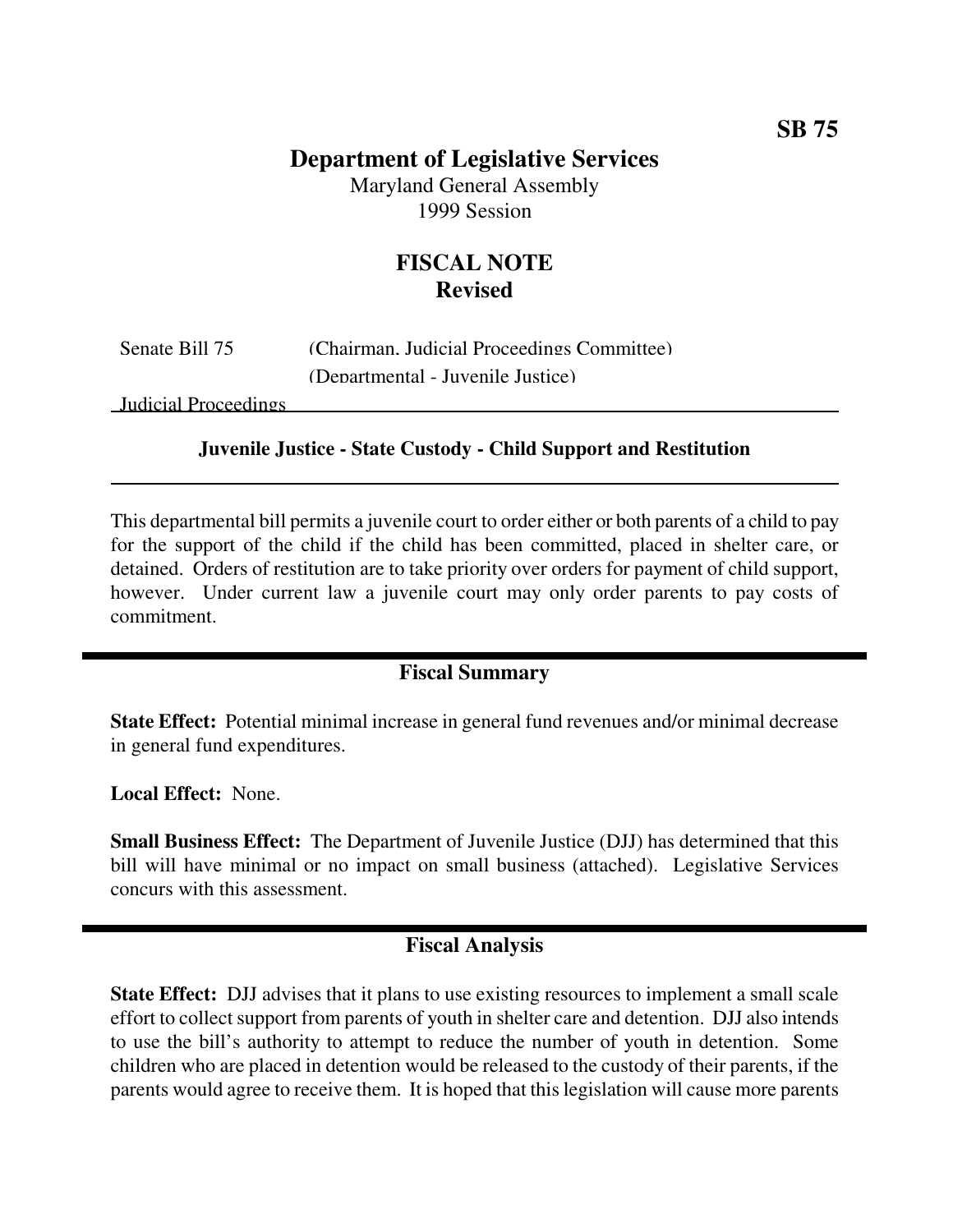# **Department of Legislative Services**

Maryland General Assembly 1999 Session

# **FISCAL NOTE Revised**

| Senate Bill 75 | (Chairman, Judicial Proceedings Committee) |
|----------------|--------------------------------------------|
|                | (Departmental - Juvenile Justice)          |

Judicial Proceedings

#### **Juvenile Justice - State Custody - Child Support and Restitution**

This departmental bill permits a juvenile court to order either or both parents of a child to pay for the support of the child if the child has been committed, placed in shelter care, or detained. Orders of restitution are to take priority over orders for payment of child support, however. Under current law a juvenile court may only order parents to pay costs of commitment.

### **Fiscal Summary**

**State Effect:** Potential minimal increase in general fund revenues and/or minimal decrease in general fund expenditures.

**Local Effect:** None.

**Small Business Effect:** The Department of Juvenile Justice (DJJ) has determined that this bill will have minimal or no impact on small business (attached). Legislative Services concurs with this assessment.

### **Fiscal Analysis**

**State Effect:** DJJ advises that it plans to use existing resources to implement a small scale effort to collect support from parents of youth in shelter care and detention. DJJ also intends to use the bill's authority to attempt to reduce the number of youth in detention. Some children who are placed in detention would be released to the custody of their parents, if the parents would agree to receive them. It is hoped that thislegislation will cause more parents